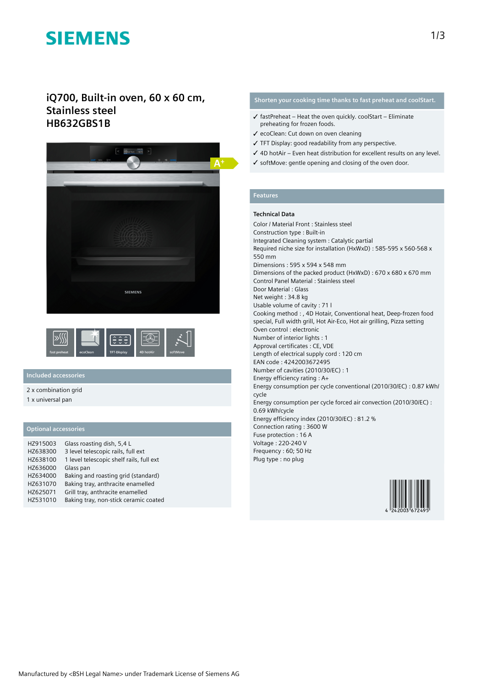# **SIEMENS**

# **iQ700, Built-in oven, 60 x 60 cm, Stainless steel HB632GBS1B**





## **Included accessories**

2 x combination grid

1 x universal pan

### **Optional accessories**

| HZ915003 | Glass roasting dish, 5,4 L               |
|----------|------------------------------------------|
| HZ638300 | 3 level telescopic rails, full ext       |
| HZ638100 | 1 level telescopic shelf rails, full ext |
| HZ636000 | Glass pan                                |
| HZ634000 | Baking and roasting grid (standard)      |
| HZ631070 | Baking tray, anthracite enamelled        |
| HZ625071 | Grill tray, anthracite enamelled         |
| HZ531010 | Baking tray, non-stick ceramic coated    |

## **Shorten your cooking time thanks to fast preheat and coolStart.**

- $\checkmark$  fastPreheat Heat the oven quickly. coolStart Eliminate preheating for frozen foods.
- ✓ ecoClean: Cut down on oven cleaning
- ✓ TFT Display: good readability from any perspective.
- ✓ 4D hotAir Even heat distribution for excellent results on any level.
- ✓ softMove: gentle opening and closing of the oven door.

# **Features**

#### **Technical Data**

Color / Material Front : Stainless steel Construction type : Built-in Integrated Cleaning system : Catalytic partial Required niche size for installation (HxWxD) : 585-595 x 560-568 x 550 mm Dimensions : 595 x 594 x 548 mm Dimensions of the packed product (HxWxD) : 670 x 680 x 670 mm Control Panel Material : Stainless steel Door Material : Glass Net weight : 34.8 kg Usable volume of cavity : 71 l Cooking method : , 4D Hotair, Conventional heat, Deep-frozen food special, Full width grill, Hot Air-Eco, Hot air grilling, Pizza setting Oven control : electronic Number of interior lights : 1 Approval certificates : CE, VDE Length of electrical supply cord : 120 cm EAN code : 4242003672495 Number of cavities (2010/30/EC) : 1 Energy efficiency rating : A+ Energy consumption per cycle conventional (2010/30/EC) : 0.87 kWh/ cycle Energy consumption per cycle forced air convection (2010/30/EC) : 0.69 kWh/cycle Energy efficiency index (2010/30/EC) : 81.2 % Connection rating : 3600 W Fuse protection : 16 A Voltage : 220-240 V Frequency : 60; 50 Hz Plug type : no plug

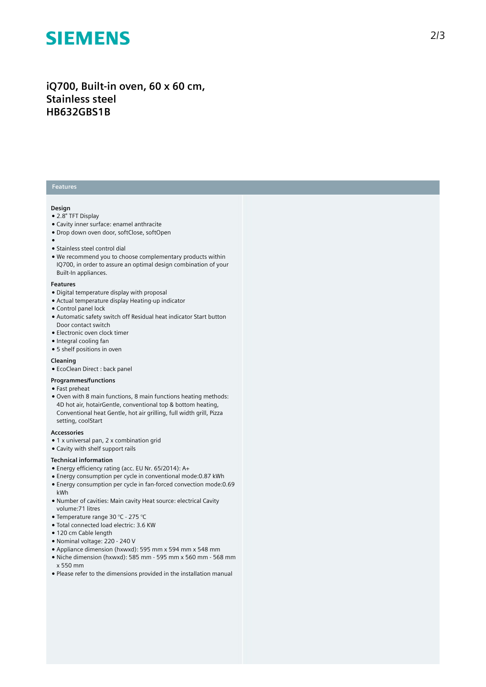# **SIEMENS**

# iQ700, Built-in oven, 60 x 60 cm, **S t a i n l e s s s t e e l HB632GBS1B**

### **Features**

#### **Design**

- 2.8" TFT Display
- Cavity inner surface: enamel anthracite
- Drop down oven door, softClose, softOpen
- 
- ●<br>● Stainless steel control dial
- We recommend you to choose complementary products within IQ700, in order to assure an optimal design combination of your Built-In appliances.

#### **F e a t u r e s**

- Digital temperature display with proposal
- Actual temperature display Heating-up indicator
- Control panel lock
- Automatic safety switch off Residual heat indicator Start button Door contact switch
- $\bullet$  Electronic oven clock timer
- Integral cooling fan
- 5 shelf positions in oven

#### **Cleaning**

• EcoClean Direct : back panel

### **Programmes/functions**

- Fast preheat
- Oven with 8 main functions, 8 main functions heating methods: 4D hot air, hotairGentle, conventional top & bottom heating, Conventional heat Gentle, hot air grilling, full width grill, Pizza setting, coolStart

#### **A c c e s s o r i e s**

- $\bullet$  1 x universal pan, 2 x combination grid
- Cavity with shelf support rails

#### **Technical information**

- Energy efficiency rating (acc. EU Nr. 65/2014): A+
- Energy consumption per cycle in conventional mode: 0.87 kWh • Energy consumption per cycle in fan-forced convection mode:0.69 kWh
- Number of cavities: Main cavity Heat source: electrical Cavity volume: 71 litres
- Temperature range 30 °C 275 °C
- · Total connected load electric: 3.6 KW
- 120 cm Cable length
- Nominal voltage: 220 240 V
- Appliance dimension (hxwxd): 595 mm x 594 mm x 548 mm
- Niche dimension (hxwxd): 585 mm 595 mm x 560 mm 56 8 m m x 550 mm
- Please refer to the dimensions provided in the installation manual